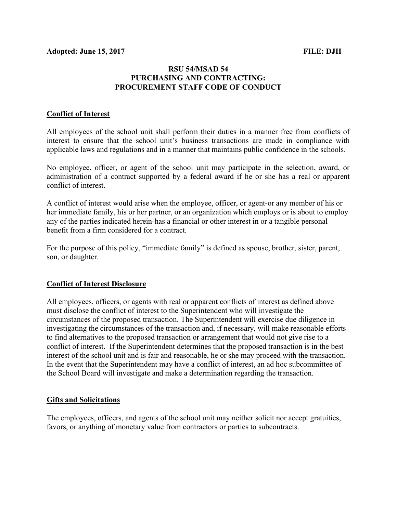## RSU 54/MSAD 54 PURCHASING AND CONTRACTING: PROCUREMENT STAFF CODE OF CONDUCT

#### Conflict of Interest

All employees of the school unit shall perform their duties in a manner free from conflicts of interest to ensure that the school unit's business transactions are made in compliance with applicable laws and regulations and in a manner that maintains public confidence in the schools.

No employee, officer, or agent of the school unit may participate in the selection, award, or administration of a contract supported by a federal award if he or she has a real or apparent conflict of interest.

A conflict of interest would arise when the employee, officer, or agent-or any member of his or her immediate family, his or her partner, or an organization which employs or is about to employ any of the parties indicated herein-has a financial or other interest in or a tangible personal benefit from a firm considered for a contract.

For the purpose of this policy, "immediate family" is defined as spouse, brother, sister, parent, son, or daughter.

### Conflict of Interest Disclosure

All employees, officers, or agents with real or apparent conflicts of interest as defined above must disclose the conflict of interest to the Superintendent who will investigate the circumstances of the proposed transaction. The Superintendent will exercise due diligence in investigating the circumstances of the transaction and, if necessary, will make reasonable efforts to find alternatives to the proposed transaction or arrangement that would not give rise to a conflict of interest. If the Superintendent determines that the proposed transaction is in the best interest of the school unit and is fair and reasonable, he or she may proceed with the transaction. In the event that the Superintendent may have a conflict of interest, an ad hoc subcommittee of the School Board will investigate and make a determination regarding the transaction.

#### Gifts and Solicitations

The employees, officers, and agents of the school unit may neither solicit nor accept gratuities, favors, or anything of monetary value from contractors or parties to subcontracts.